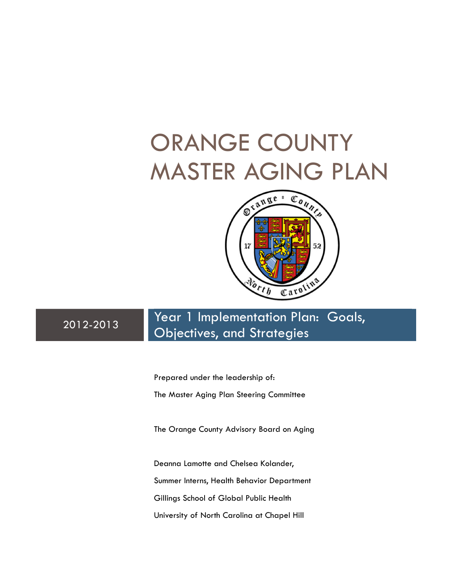# ORANGE COUNTY MASTER AGING PLAN



2012-2013 Year 1 Implementation Plan: Goals, Objectives, and Strategies

> Prepared under the leadership of: The Master Aging Plan Steering Committee

The Orange County Advisory Board on Aging

Deanna Lamotte and Chelsea Kolander, Summer Interns, Health Behavior Department Gillings School of Global Public Health University of North Carolina at Chapel Hill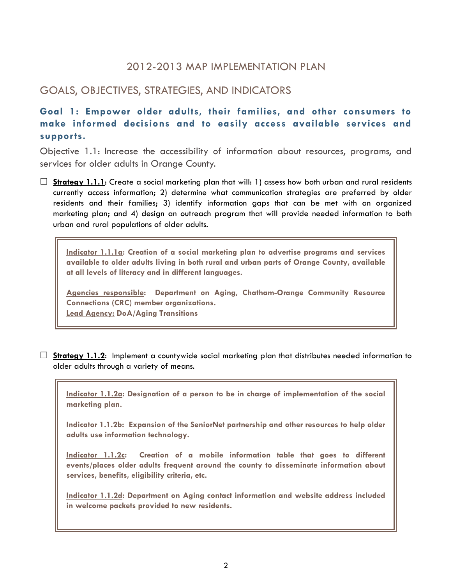# 2012-2013 MAP IMPLEMENTATION PLAN

# GOALS, OBJECTIVES, STRATEGIES, AND INDICATORS

Goal 1: Empower older adults, their families, and other consumers to make informed decisions and to easily access available services and supports.

Objective 1.1: Increase the accessibility of information about resources, programs, and services for older adults in Orange County.

 $\Box$  Strategy 1.1.1: Create a social marketing plan that will: 1) assess how both urban and rural residents currently access information; 2) determine what communication strategies are preferred by older residents and their families; 3) identify information gaps that can be met with an organized marketing plan; and 4) design an outreach program that will provide needed information to both urban and rural populations of older adults.

Indicator 1.1.1a: Creation of a social marketing plan to advertise programs and services available to older adults living in both rural and urban parts of Orange County, available at all levels of literacy and in different languages.

Agencies responsible: Department on Aging, Chatham-Orange Community Resource Connections (CRC) member organizations. Lead Agency: DoA/Aging Transitions

 $\Box$  Strategy 1.1.2: Implement a countywide social marketing plan that distributes needed information to older adults through a variety of means.

Indicator 1.1.2a: Designation of a person to be in charge of implementation of the social marketing plan.

Indicator 1.1.2b: Expansion of the SeniorNet partnership and other resources to help older adults use information technology.

Indicator 1.1.2c: Creation of a mobile information table that goes to different events/places older adults frequent around the county to disseminate information about services, benefits, eligibility criteria, etc.

Indicator 1.1.2d: Department on Aging contact information and website address included in welcome packets provided to new residents.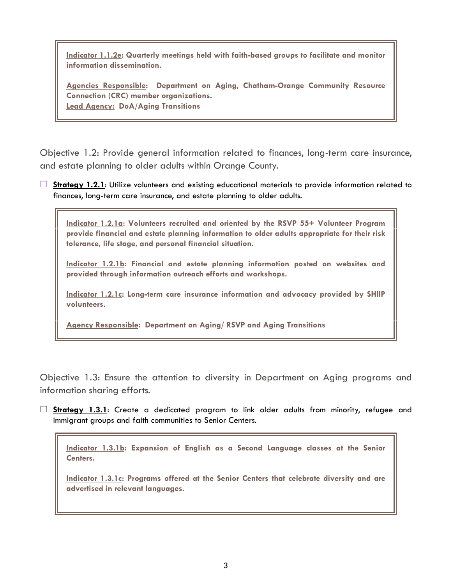Indicator 1.1.2e: Quarterly meetings held with faith-based groups to facilitate and monitor information dissemination.

Agencies Responsible: Department on Aging, Chatham-Orange Community Resource Connection (CRC) member organizations. Lead Agency: DoA/Aging Transitions

Objective 1.2: Provide general information related to finances, long-term care insurance, and estate planning to older adults within Orange County.

 $\Box$  Strategy 1.2.1: Utilize volunteers and existing educational materials to provide information related to finances, long-term care insurance, and estate planning to older adults.

Indicator 1.2.1a: Volunteers recruited and oriented by the RSVP 55+ Volunteer Program provide financial and estate planning information to older adults appropriate for their risk tolerance, life stage, and personal financial situation.

Indicator 1.2.1b: Financial and estate planning information posted on websites and provided through information outreach efforts and workshops.

Indicator 1.2.1c: Long-term care insurance information and advocacy provided by SHIIP volunteers.

Agency Responsible: Department on Aging/ RSVP and Aging Transitions

Objective 1.3: Ensure the attention to diversity in Department on Aging programs and information sharing efforts.

 $\square$  **Strategy 1.3.1**: Create a dedicated program to link older adults from minority, refugee and immigrant groups and faith communities to Senior Centers.

Indicator 1.3.1b: Expansion of English as a Second Language classes at the Senior Centers.

Indicator 1.3.1c: Programs offered at the Senior Centers that celebrate diversity and are advertised in relevant languages.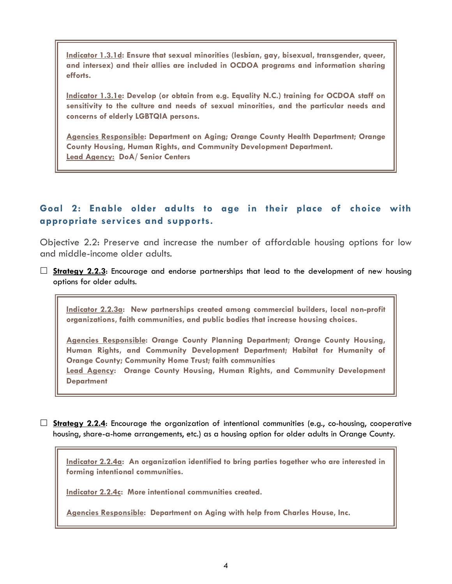Indicator 1.3.1d: Ensure that sexual minorities (lesbian, gay, bisexual, transgender, queer, and intersex) and their allies are included in OCDOA programs and information sharing efforts.

Indicator 1.3.1e: Develop (or obtain from e.g. Equality N.C.) training for OCDOA staff on sensitivity to the culture and needs of sexual minorities, and the particular needs and concerns of elderly LGBTQIA persons.

Agencies Responsible: Department on Aging; Orange County Health Department; Orange County Housing, Human Rights, and Community Development Department. Lead Agency: DoA/ Senior Centers

# Goal 2: Enable older adults to age in their place of choice with appropriate services and supports.

Objective 2.2: Preserve and increase the number of affordable housing options for low and middle-income older adults.

 $\Box$  Strategy 2.2.3: Encourage and endorse partnerships that lead to the development of new housing options for older adults.

Indicator 2.2.3a: New partnerships created among commercial builders, local non-profit organizations, faith communities, and public bodies that increase housing choices.

Agencies Responsible: Orange County Planning Department; Orange County Housing, Human Rights, and Community Development Department; Habitat for Humanity of Orange County; Community Home Trust; faith communities Lead Agency: Orange County Housing, Human Rights, and Community Development

**Department** 

 $\Box$  Strategy 2.2.4: Encourage the organization of intentional communities (e.g., co-housing, cooperative housing, share-a-home arrangements, etc.) as a housing option for older adults in Orange County.

Indicator 2.2.4a: An organization identified to bring parties together who are interested in forming intentional communities.

Indicator 2.2.4c: More intentional communities created.

Agencies Responsible: Department on Aging with help from Charles House, Inc.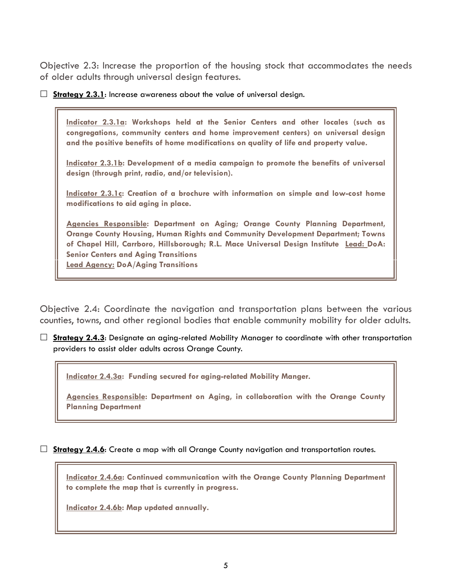Objective 2.3: Increase the proportion of the housing stock that accommodates the needs of older adults through universal design features.

 $\Box$  Strategy 2.3.1: Increase awareness about the value of universal design.

Indicator 2.3.1a: Workshops held at the Senior Centers and other locales (such as congregations, community centers and home improvement centers) on universal design and the positive benefits of home modifications on quality of life and property value.

Indicator 2.3.1b: Development of a media campaign to promote the benefits of universal design (through print, radio, and/or television).

Indicator 2.3.1c: Creation of a brochure with information on simple and low-cost home modifications to aid aging in place.

Agencies Responsible: Department on Aging; Orange County Planning Department, Orange County Housing, Human Rights and Community Development Department; Towns of Chapel Hill, Carrboro, Hillsborough; R.L. Mace Universal Design Institute Lead: DoA: Senior Centers and Aging Transitions Lead Agency: DoA/Aging Transitions

Objective 2.4: Coordinate the navigation and transportation plans between the various counties, towns, and other regional bodies that enable community mobility for older adults.

 $\Box$  Strategy 2.4.3: Designate an aging-related Mobility Manager to coordinate with other transportation providers to assist older adults across Orange County.

Indicator 2.4.3a: Funding secured for aging-related Mobility Manger.

Agencies Responsible: Department on Aging, in collaboration with the Orange County Planning Department

 $\Box$  **Strategy 2.4.6:** Create a map with all Orange County navigation and transportation routes.

Indicator 2.4.6a: Continued communication with the Orange County Planning Department to complete the map that is currently in progress.

Indicator 2.4.6b: Map updated annually.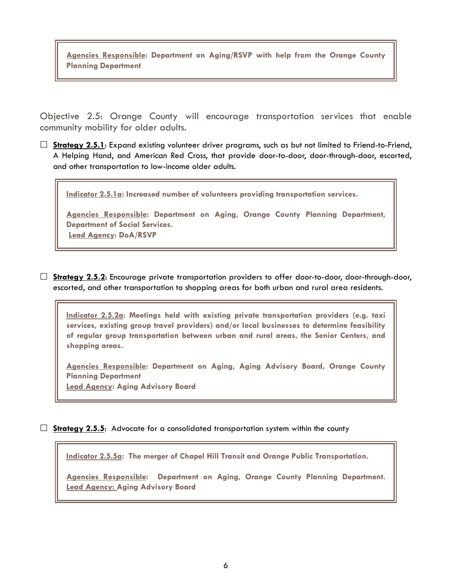Agencies Responsible: Department on Aging/RSVP with help from the Orange County Planning Department

Objective 2.5: Orange County will encourage transportation services that enable community mobility for older adults.

 $\Box$  Strategy 2.5.1: Expand existing volunteer driver programs, such as but not limited to Friend-to-Friend, A Helping Hand, and American Red Cross, that provide door-to-door, door-through-door, escorted, and other transportation to low-income older adults.

Indicator 2.5.1a: Increased number of volunteers providing transportation services.

Agencies Responsible: Department on Aging, Orange County Planning Department, Department of Social Services. Lead Agency: DoA/RSVP

 $\Box$  Strategy 2.5.2: Encourage private transportation providers to offer door-to-door, door-through-door, escorted, and other transportation to shopping areas for both urban and rural area residents.

Indicator 2.5.2a: Meetings held with existing private transportation providers (e.g. taxi services, existing group travel providers) and/or local businesses to determine feasibility of regular group transportation between urban and rural areas, the Senior Centers, and shopping areas.

Agencies Responsible: Department on Aging, Aging Advisory Board, Orange County Planning Department Lead Agency: Aging Advisory Board

 $\Box$  Strategy 2.5.5: Advocate for a consolidated transportation system within the county

Indicator 2.5.5a: The merger of Chapel Hill Transit and Orange Public Transportation.

Agencies Responsible: Department on Aging, Orange County Planning Department. Lead Agency: Aging Advisory Board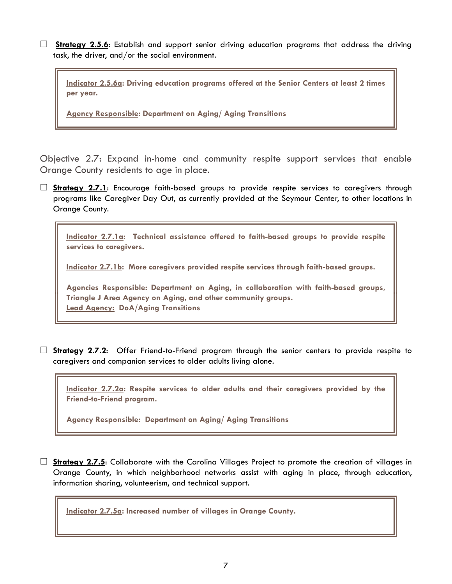$\Box$  Strategy 2.5.6: Establish and support senior driving education programs that address the driving task, the driver, and/or the social environment.

Indicator 2.5.6a: Driving education programs offered at the Senior Centers at least 2 times per year.

Agency Responsible: Department on Aging/ Aging Transitions

Objective 2.7: Expand in-home and community respite support services that enable Orange County residents to age in place.

 $\Box$  Strategy 2.7.1: Encourage faith-based groups to provide respite services to caregivers through programs like Caregiver Day Out, as currently provided at the Seymour Center, to other locations in Orange County.

Indicator 2.7.1a: Technical assistance offered to faith-based groups to provide respite services to caregivers.

Indicator 2.7.1b: More caregivers provided respite services through faith-based groups.

Agencies Responsible: Department on Aging, in collaboration with faith-based groups, Triangle J Area Agency on Aging, and other community groups. Lead Agency: DoA/Aging Transitions

 $\Box$  Strategy 2.7.2: Offer Friend-to-Friend program through the senior centers to provide respite to caregivers and companion services to older adults living alone.

Indicator 2.7.2a: Respite services to older adults and their caregivers provided by the Friend-to-Friend program.

Agency Responsible: Department on Aging/ Aging Transitions

 $\Box$  Strategy 2.7.5: Collaborate with the Carolina Villages Project to promote the creation of villages in Orange County, in which neighborhood networks assist with aging in place, through education, information sharing, volunteerism, and technical support.

Indicator 2.7.5a: Increased number of villages in Orange County.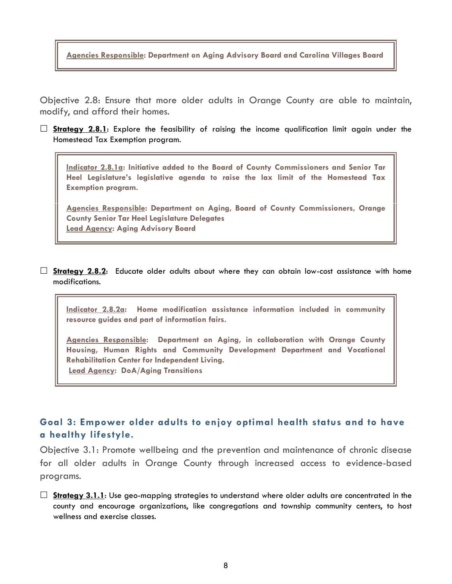Agencies Responsible: Department on Aging Advisory Board and Carolina Villages Board

Objective 2.8: Ensure that more older adults in Orange County are able to maintain, modify, and afford their homes.

 $\Box$  Strategy 2.8.1: Explore the feasibility of raising the income qualification limit again under the Homestead Tax Exemption program.

Indicator 2.8.1a: Initiative added to the Board of County Commissioners and Senior Tar Heel Legislature's legislative agenda to raise the lax limit of the Homestead Tax Exemption program.

Agencies Responsible: Department on Aging, Board of County Commissioners, Orange County Senior Tar Heel Legislature Delegates Lead Agency: Aging Advisory Board

 $\Box$  Strategy 2.8.2: Educate older adults about where they can obtain low-cost assistance with home modifications.

Indicator 2.8.2a: Home modification assistance information included in community resource guides and part of information fairs.

Agencies Responsible: Department on Aging, in collaboration with Orange County Housing, Human Rights and Community Development Department and Vocational Rehabilitation Center for Independent Living. Lead Agency: DoA/Aging Transitions

# Goal 3: Empower older adults to enjoy optimal health status and to have a healthy lifestyle.

Objective 3.1: Promote wellbeing and the prevention and maintenance of chronic disease for all older adults in Orange County through increased access to evidence-based programs.

 $\Box$  Strategy 3.1.1: Use geo-mapping strategies to understand where older adults are concentrated in the county and encourage organizations, like congregations and township community centers, to host wellness and exercise classes.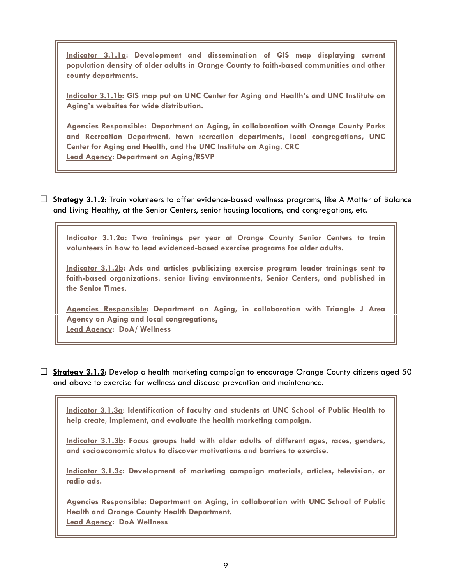Indicator 3.1.1a: Development and dissemination of GIS map displaying current population density of older adults in Orange County to faith-based communities and other county departments.

Indicator 3.1.1b: GIS map put on UNC Center for Aging and Health's and UNC Institute on Aging's websites for wide distribution.

Agencies Responsible: Department on Aging, in collaboration with Orange County Parks and Recreation Department, town recreation departments, local congregations, UNC Center for Aging and Health, and the UNC Institute on Aging, CRC Lead Agency: Department on Aging/RSVP

 $\Box$  Strategy 3.1.2: Train volunteers to offer evidence-based wellness programs, like A Matter of Balance and Living Healthy, at the Senior Centers, senior housing locations, and congregations, etc.

Indicator 3.1.2a: Two trainings per year at Orange County Senior Centers to train volunteers in how to lead evidenced-based exercise programs for older adults.

Indicator 3.1.2b: Ads and articles publicizing exercise program leader trainings sent to faith-based organizations, senior living environments, Senior Centers, and published in the Senior Times.

Agencies Responsible: Department on Aging, in collaboration with Triangle J Area Agency on Aging and local congregations. Lead Agency: DoA/ Wellness

 $\Box$  Strategy 3.1.3: Develop a health marketing campaign to encourage Orange County citizens aged 50 and above to exercise for wellness and disease prevention and maintenance.

Indicator 3.1.3a: Identification of faculty and students at UNC School of Public Health to help create, implement, and evaluate the health marketing campaign.

Indicator 3.1.3b: Focus groups held with older adults of different ages, races, genders, and socioeconomic status to discover motivations and barriers to exercise.

Indicator 3.1.3c: Development of marketing campaign materials, articles, television, or radio ads.

Agencies Responsible: Department on Aging, in collaboration with UNC School of Public Health and Orange County Health Department. Lead Agency: DoA Wellness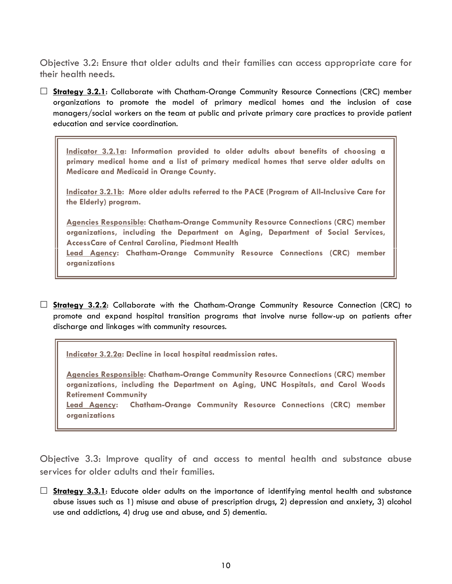Objective 3.2: Ensure that older adults and their families can access appropriate care for their health needs.

 $\Box$  **Strategy 3.2.1:** Collaborate with Chatham-Orange Community Resource Connections (CRC) member organizations to promote the model of primary medical homes and the inclusion of case managers/social workers on the team at public and private primary care practices to provide patient education and service coordination.

Indicator 3.2.1a: Information provided to older adults about benefits of choosing a primary medical home and a list of primary medical homes that serve older adults on Medicare and Medicaid in Orange County.

Indicator 3.2.1b: More older adults referred to the PACE (Program of All-Inclusive Care for the Elderly) program.

Agencies Responsible: Chatham-Orange Community Resource Connections (CRC) member organizations, including the Department on Aging, Department of Social Services, AccessCare of Central Carolina, Piedmont Health Lead Agency: Chatham-Orange Community Resource Connections (CRC) member organizations

 $\Box$  Strategy 3.2.2: Collaborate with the Chatham-Orange Community Resource Connection (CRC) to promote and expand hospital transition programs that involve nurse follow-up on patients after discharge and linkages with community resources.

Indicator 3.2.2a: Decline in local hospital readmission rates.

Agencies Responsible: Chatham-Orange Community Resource Connections (CRC) member organizations, including the Department on Aging, UNC Hospitals, and Carol Woods Retirement Community

Lead Agency: Chatham-Orange Community Resource Connections (CRC) member organizations

Objective 3.3: Improve quality of and access to mental health and substance abuse services for older adults and their families.

 $\Box$  Strategy 3.3.1: Educate older adults on the importance of identifying mental health and substance abuse issues such as 1) misuse and abuse of prescription drugs, 2) depression and anxiety, 3) alcohol use and addictions, 4) drug use and abuse, and 5) dementia.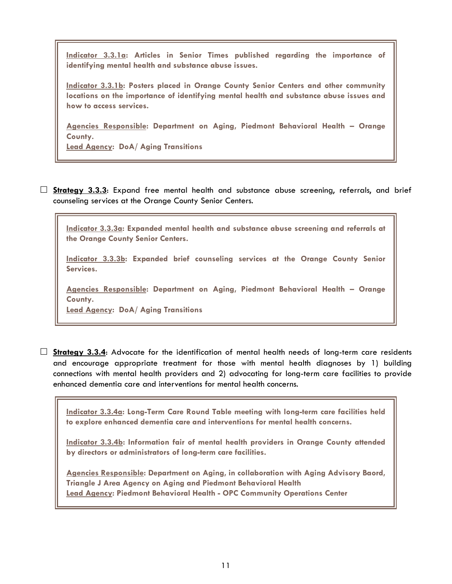Indicator 3.3.1a: Articles in Senior Times published regarding the importance of identifying mental health and substance abuse issues.

Indicator 3.3.1b: Posters placed in Orange County Senior Centers and other community locations on the importance of identifying mental health and substance abuse issues and how to access services.

Agencies Responsible: Department on Aging, Piedmont Behavioral Health – Orange County.

**Lead Agency: DoA/ Aging Transitions** 

 $\Box$  Strategy 3.3.3: Expand free mental health and substance abuse screening, referrals, and brief counseling services at the Orange County Senior Centers.

Indicator 3.3.3a: Expanded mental health and substance abuse screening and referrals at the Orange County Senior Centers.

Indicator 3.3.3b: Expanded brief counseling services at the Orange County Senior Services.

Agencies Responsible: Department on Aging, Piedmont Behavioral Health – Orange County.

Lead Agency: DoA/ Aging Transitions

 $\Box$  Strategy 3.3.4: Advocate for the identification of mental health needs of long-term care residents and encourage appropriate treatment for those with mental health diagnoses by 1) building connections with mental health providers and 2) advocating for long-term care facilities to provide enhanced dementia care and interventions for mental health concerns.

Indicator 3.3.4a: Long-Term Care Round Table meeting with long-term care facilities held to explore enhanced dementia care and interventions for mental health concerns.

Indicator 3.3.4b: Information fair of mental health providers in Orange County attended by directors or administrators of long-term care facilities.

Agencies Responsible: Department on Aging, in collaboration with Aging Advisory Baord, Triangle J Area Agency on Aging and Piedmont Behavioral Health Lead Agency: Piedmont Behavioral Health - OPC Community Operations Center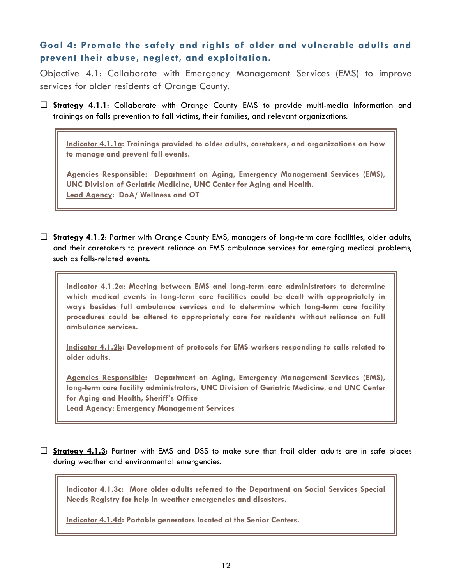## Goal 4: Promote the safety and rights of older and vulnerable adults and prevent their abuse, neglect, and exploitation.

Objective 4.1: Collaborate with Emergency Management Services (EMS) to improve services for older residents of Orange County.

 $\Box$  **Strategy 4.1.1:** Collaborate with Orange County EMS to provide multi-media information and trainings on falls prevention to fall victims, their families, and relevant organizations.

Indicator 4.1.1a: Trainings provided to older adults, caretakers, and organizations on how to manage and prevent fall events.

Agencies Responsible: Department on Aging, Emergency Management Services (EMS), UNC Division of Geriatric Medicine, UNC Center for Aging and Health. Lead Agency: DoA/ Wellness and OT

 $\Box$  Strategy 4.1.2: Partner with Orange County EMS, managers of long-term care facilities, older adults, and their caretakers to prevent reliance on EMS ambulance services for emerging medical problems, such as falls-related events.

Indicator 4.1.2a: Meeting between EMS and long-term care administrators to determine which medical events in long-term care facilities could be dealt with appropriately in ways besides full ambulance services and to determine which long-term care facility procedures could be altered to appropriately care for residents without reliance on full ambulance services.

Indicator 4.1.2b: Development of protocols for EMS workers responding to calls related to older adults.

Agencies Responsible: Department on Aging, Emergency Management Services (EMS), long-term care facility administrators, UNC Division of Geriatric Medicine, and UNC Center for Aging and Health, Sheriff's Office

Lead Agency: Emergency Management Services

 $\Box$  Strategy 4.1.3: Partner with EMS and DSS to make sure that frail older adults are in safe places during weather and environmental emergencies.

Indicator 4.1.3c: More older adults referred to the Department on Social Services Special Needs Registry for help in weather emergencies and disasters.

Indicator 4.1.4d: Portable generators located at the Senior Centers.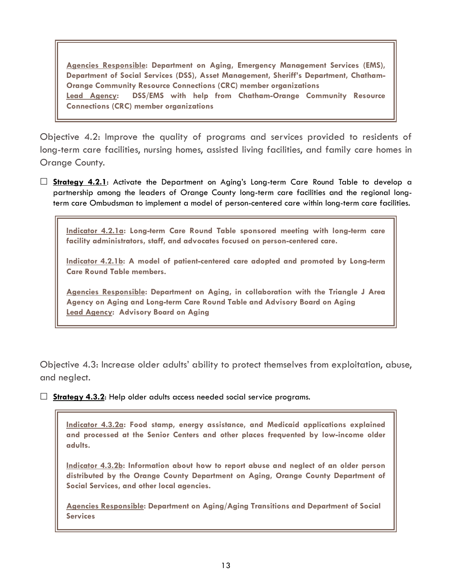Agencies Responsible: Department on Aging, Emergency Management Services (EMS), Department of Social Services (DSS), Asset Management, Sheriff's Department, Chatham-Orange Community Resource Connections (CRC) member organizations Lead Agency: DSS/EMS with help from Chatham-Orange Community Resource Connections (CRC) member organizations

Objective 4.2: Improve the quality of programs and services provided to residents of long-term care facilities, nursing homes, assisted living facilities, and family care homes in Orange County.

 $\Box$  **Strategy 4.2.1**: Activate the Department on Aging's Long-term Care Round Table to develop a partnership among the leaders of Orange County long-term care facilities and the regional longterm care Ombudsman to implement a model of person-centered care within long-term care facilities.

Indicator 4.2.1a: Long-term Care Round Table sponsored meeting with long-term care facility administrators, staff, and advocates focused on person-centered care.

Indicator 4.2.1b: A model of patient-centered care adopted and promoted by Long-term Care Round Table members.

Agencies Responsible: Department on Aging, in collaboration with the Triangle J Area Agency on Aging and Long-term Care Round Table and Advisory Board on Aging Lead Agency: Advisory Board on Aging

Objective 4.3: Increase older adults' ability to protect themselves from exploitation, abuse, and neglect.

 $\Box$  Strategy 4.3.2: Help older adults access needed social service programs.

Indicator 4.3.2a: Food stamp, energy assistance, and Medicaid applications explained and processed at the Senior Centers and other places frequented by low-income older adults.

Indicator 4.3.2b: Information about how to report abuse and neglect of an older person distributed by the Orange County Department on Aging, Orange County Department of Social Services, and other local agencies.

Agencies Responsible: Department on Aging/Aging Transitions and Department of Social **Services**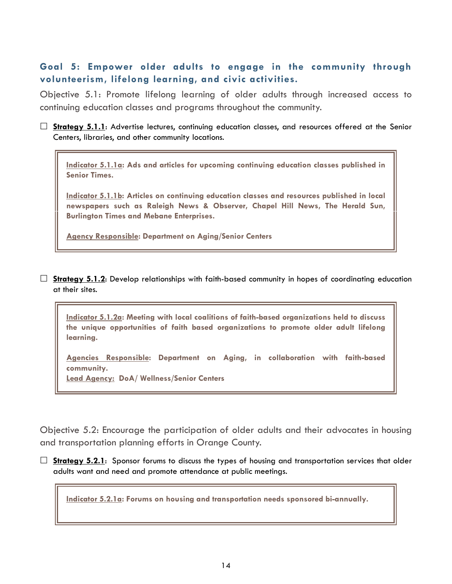# Goal 5: Empower older adults to engage in the community through volunteerism, lifelong learning, and civic activities.

Objective 5.1: Promote lifelong learning of older adults through increased access to continuing education classes and programs throughout the community.

 $\Box$  Strategy 5.1.1: Advertise lectures, continuing education classes, and resources offered at the Senior Centers, libraries, and other community locations.

Indicator 5.1.1a: Ads and articles for upcoming continuing education classes published in Senior Times.

Indicator 5.1.1b: Articles on continuing education classes and resources published in local newspapers such as Raleigh News & Observer, Chapel Hill News, The Herald Sun, Burlington Times and Mebane Enterprises.

Agency Responsible: Department on Aging/Senior Centers

 $\Box$  Strategy 5.1.2: Develop relationships with faith-based community in hopes of coordinating education at their sites.

Indicator 5.1.2a: Meeting with local coalitions of faith-based organizations held to discuss the unique opportunities of faith based organizations to promote older adult lifelong learning.

Agencies Responsible: Department on Aging, in collaboration with faith-based community.

Lead Agency: DoA/ Wellness/Senior Centers

Objective 5.2: Encourage the participation of older adults and their advocates in housing and transportation planning efforts in Orange County.

 $\Box$  Strategy 5.2.1: Sponsor forums to discuss the types of housing and transportation services that older adults want and need and promote attendance at public meetings.

Indicator 5.2.1a: Forums on housing and transportation needs sponsored bi-annually.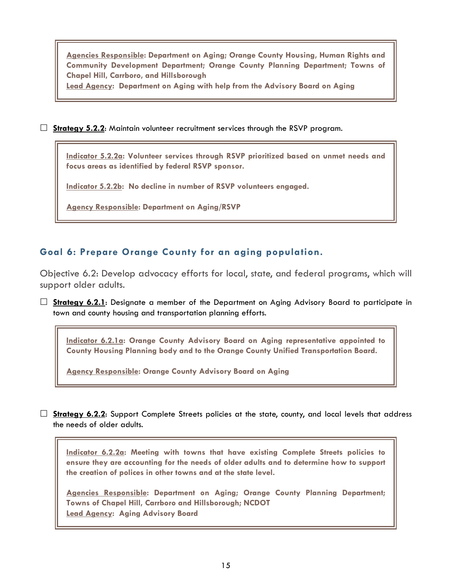Agencies Responsible: Department on Aging; Orange County Housing, Human Rights and Community Development Department; Orange County Planning Department; Towns of Chapel Hill, Carrboro, and Hillsborough

Lead Agency: Department on Aging with help from the Advisory Board on Aging

 $\Box$  Strategy 5.2.2: Maintain volunteer recruitment services through the RSVP program.

Indicator 5.2.2a: Volunteer services through RSVP prioritized based on unmet needs and focus areas as identified by federal RSVP sponsor.

Indicator 5.2.2b: No decline in number of RSVP volunteers engaged.

Agency Responsible: Department on Aging/RSVP

### Goal 6: Prepare Orange County for an aging population.

Objective 6.2: Develop advocacy efforts for local, state, and federal programs, which will support older adults.

 $\Box$  Strategy 6.2.1: Designate a member of the Department on Aging Advisory Board to participate in town and county housing and transportation planning efforts.

Indicator 6.2.1a: Orange County Advisory Board on Aging representative appointed to County Housing Planning body and to the Orange County Unified Transportation Board.

Agency Responsible: Orange County Advisory Board on Aging

 $\Box$  Strategy 6.2.2: Support Complete Streets policies at the state, county, and local levels that address the needs of older adults.

Indicator 6.2.2a: Meeting with towns that have existing Complete Streets policies to ensure they are accounting for the needs of older adults and to determine how to support the creation of polices in other towns and at the state level.

Agencies Responsible: Department on Aging; Orange County Planning Department; Towns of Chapel Hill, Carrboro and Hillsborough; NCDOT Lead Agency: Aging Advisory Board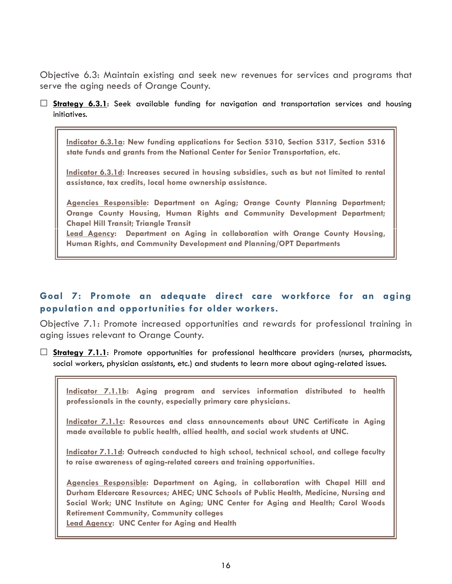Objective 6.3: Maintain existing and seek new revenues for services and programs that serve the aging needs of Orange County.

 $\Box$  Strategy 6.3.1: Seek available funding for navigation and transportation services and housing initiatives.

Indicator 6.3.1a: New funding applications for Section 5310, Section 5317, Section 5316 state funds and grants from the National Center for Senior Transportation, etc.

Indicator 6.3.1d: Increases secured in housing subsidies, such as but not limited to rental assistance, tax credits, local home ownership assistance.

Agencies Responsible: Department on Aging; Orange County Planning Department; Orange County Housing, Human Rights and Community Development Department; Chapel Hill Transit; Triangle Transit

Lead Agency: Department on Aging in collaboration with Orange County Housing, Human Rights, and Community Development and Planning/OPT Departments

# Goal 7: Promote an adequate direct care workforce for an aging population and opportunities for older workers.

Objective 7.1: Promote increased opportunities and rewards for professional training in aging issues relevant to Orange County.

 $\square$  Strategy 7.1.1: Promote opportunities for professional healthcare providers (nurses, pharmacists, social workers, physician assistants, etc.) and students to learn more about aging-related issues.

Indicator 7.1.1b: Aging program and services information distributed to health professionals in the county, especially primary care physicians.

Indicator 7.1.1c: Resources and class announcements about UNC Certificate in Aging made available to public health, allied health, and social work students at UNC.

Indicator 7.1.1d: Outreach conducted to high school, technical school, and college faculty to raise awareness of aging-related careers and training opportunities.

Agencies Responsible: Department on Aging, in collaboration with Chapel Hill and Durham Eldercare Resources; AHEC; UNC Schools of Public Health, Medicine, Nursing and Social Work; UNC Institute on Aging; UNC Center for Aging and Health; Carol Woods Retirement Community, Community colleges

Lead Agency: UNC Center for Aging and Health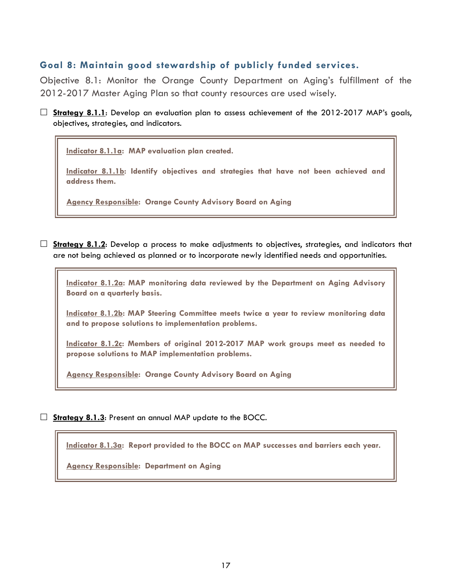### Goal 8: Maintain good stewardship of publicly funded services.

Objective 8.1: Monitor the Orange County Department on Aging's fulfillment of the 2012-2017 Master Aging Plan so that county resources are used wisely.

 $\Box$  Strategy 8.1.1: Develop an evaluation plan to assess achievement of the 2012-2017 MAP's goals, objectives, strategies, and indicators.

Indicator 8.1.1a: MAP evaluation plan created.

Indicator 8.1.1b: Identify objectives and strategies that have not been achieved and address them.

**Agency Responsible: Orange County Advisory Board on Aging** 

 $\Box$  Strategy 8.1.2: Develop a process to make adjustments to objectives, strategies, and indicators that are not being achieved as planned or to incorporate newly identified needs and opportunities.

Indicator 8.1.2a: MAP monitoring data reviewed by the Department on Aging Advisory Board on a quarterly basis.

Indicator 8.1.2b: MAP Steering Committee meets twice a year to review monitoring data and to propose solutions to implementation problems.

Indicator 8.1.2c: Members of original 2012-2017 MAP work groups meet as needed to propose solutions to MAP implementation problems.

Agency Responsible: Orange County Advisory Board on Aging

 $\Box$  Strategy 8.1.3: Present an annual MAP update to the BOCC.

Indicator 8.1.3a: Report provided to the BOCC on MAP successes and barriers each year.

Agency Responsible: Department on Aging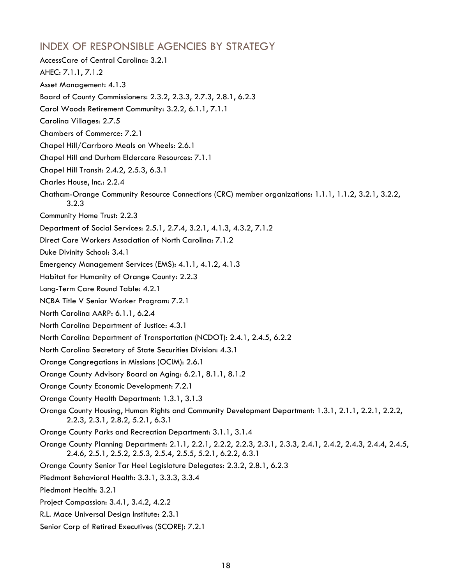# INDEX OF RESPONSIBLE AGENCIES BY STRATEGY

- AccessCare of Central Carolina: 3.2.1 AHEC: 7.1.1, 7.1.2 Asset Management: 4.1.3 Board of County Commissioners: 2.3.2, 2.3.3, 2.7.3, 2.8.1, 6.2.3 Carol Woods Retirement Community: 3.2.2, 6.1.1, 7.1.1 Carolina Villages: 2.7.5 Chambers of Commerce: 7.2.1 Chapel Hill/Carrboro Meals on Wheels: 2.6.1 Chapel Hill and Durham Eldercare Resources: 7.1.1 Chapel Hill Transit: 2.4.2, 2.5.3, 6.3.1 Charles House, Inc.: 2.2.4 Chatham-Orange Community Resource Connections (CRC) member organizations: 1.1.1, 1.1.2, 3.2.1, 3.2.2, 3.2.3 Community Home Trust: 2.2.3 Department of Social Services: 2.5.1, 2.7.4, 3.2.1, 4.1.3, 4.3.2, 7.1.2 Direct Care Workers Association of North Carolina: 7.1.2 Duke Divinity School: 3.4.1 Emergency Management Services (EMS): 4.1.1, 4.1.2, 4.1.3 Habitat for Humanity of Orange County: 2.2.3 Long-Term Care Round Table: 4.2.1 NCBA Title V Senior Worker Program: 7.2.1 North Carolina AARP: 6.1.1, 6.2.4 North Carolina Department of Justice: 4.3.1 North Carolina Department of Transportation (NCDOT): 2.4.1, 2.4.5, 6.2.2 North Carolina Secretary of State Securities Division: 4.3.1 Orange Congregations in Missions (OCIM): 2.6.1 Orange County Advisory Board on Aging: 6.2.1, 8.1.1, 8.1.2 Orange County Economic Development: 7.2.1 Orange County Health Department: 1.3.1, 3.1.3 Orange County Housing, Human Rights and Community Development Department: 1.3.1, 2.1.1, 2.2.1, 2.2.2, 2.2.3, 2.3.1, 2.8.2, 5.2.1, 6.3.1 Orange County Parks and Recreation Department: 3.1.1, 3.1.4 Orange County Planning Department: 2.1.1, 2.2.1, 2.2.2, 2.2.3, 2.3.1, 2.3.3, 2.4.1, 2.4.2, 2.4.3, 2.4.4, 2.4.5, 2.4.6, 2.5.1, 2.5.2, 2.5.3, 2.5.4, 2.5.5, 5.2.1, 6.2.2, 6.3.1 Orange County Senior Tar Heel Legislature Delegates: 2.3.2, 2.8.1, 6.2.3 Piedmont Behavioral Health: 3.3.1, 3.3.3, 3.3.4 Piedmont Health: 3.2.1 Project Compassion: 3.4.1, 3.4.2, 4.2.2 R.L. Mace Universal Design Institute: 2.3.1
- Senior Corp of Retired Executives (SCORE): 7.2.1